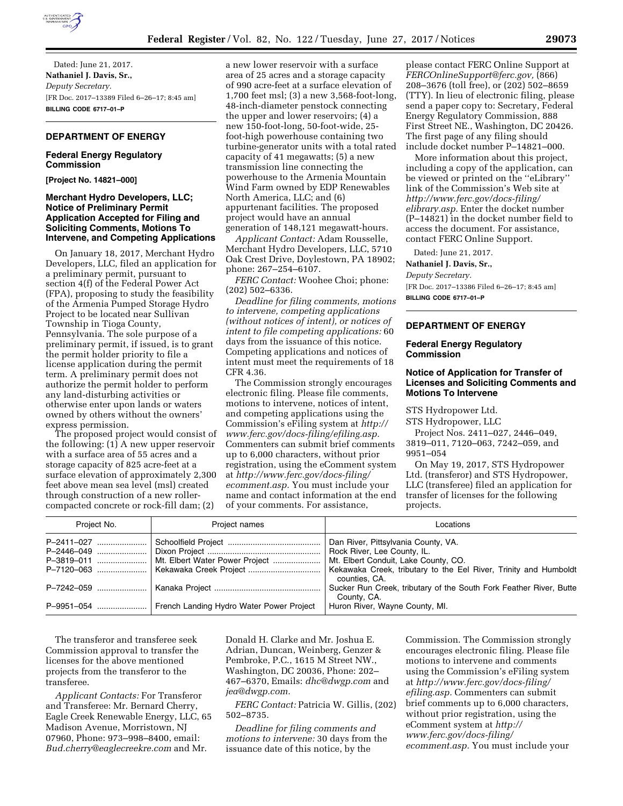

Dated: June 21, 2017. **Nathaniel J. Davis, Sr.,**  *Deputy Secretary.*  [FR Doc. 2017–13389 Filed 6–26–17; 8:45 am] **BILLING CODE 6717–01–P** 

## **DEPARTMENT OF ENERGY**

# **Federal Energy Regulatory Commission**

**[Project No. 14821–000]** 

## **Merchant Hydro Developers, LLC; Notice of Preliminary Permit Application Accepted for Filing and Soliciting Comments, Motions To Intervene, and Competing Applications**

On January 18, 2017, Merchant Hydro Developers, LLC, filed an application for a preliminary permit, pursuant to section 4(f) of the Federal Power Act (FPA), proposing to study the feasibility of the Armenia Pumped Storage Hydro Project to be located near Sullivan Township in Tioga County, Pennsylvania. The sole purpose of a preliminary permit, if issued, is to grant the permit holder priority to file a license application during the permit term. A preliminary permit does not authorize the permit holder to perform any land-disturbing activities or otherwise enter upon lands or waters owned by others without the owners' express permission.

The proposed project would consist of the following: (1) A new upper reservoir with a surface area of 55 acres and a storage capacity of 825 acre-feet at a surface elevation of approximately 2,300 feet above mean sea level (msl) created through construction of a new rollercompacted concrete or rock-fill dam; (2)

a new lower reservoir with a surface area of 25 acres and a storage capacity of 990 acre-feet at a surface elevation of 1,700 feet msl; (3) a new 3,568-foot-long, 48-inch-diameter penstock connecting the upper and lower reservoirs; (4) a new 150-foot-long, 50-foot-wide, 25 foot-high powerhouse containing two turbine-generator units with a total rated capacity of 41 megawatts; (5) a new transmission line connecting the powerhouse to the Armenia Mountain Wind Farm owned by EDP Renewables North America, LLC; and (6) appurtenant facilities. The proposed project would have an annual generation of 148,121 megawatt-hours.

*Applicant Contact:* Adam Rousselle, Merchant Hydro Developers, LLC, 5710 Oak Crest Drive, Doylestown, PA 18902; phone: 267–254–6107.

*FERC Contact:* Woohee Choi; phone: (202) 502–6336.

*Deadline for filing comments, motions to intervene, competing applications (without notices of intent), or notices of intent to file competing applications:* 60 days from the issuance of this notice. Competing applications and notices of intent must meet the requirements of 18 CFR 4.36.

The Commission strongly encourages electronic filing. Please file comments, motions to intervene, notices of intent, and competing applications using the Commission's eFiling system at *[http://](http://www.ferc.gov/docs-filing/efiling.asp) [www.ferc.gov/docs-filing/efiling.asp.](http://www.ferc.gov/docs-filing/efiling.asp)*  Commenters can submit brief comments up to 6,000 characters, without prior registration, using the eComment system at *[http://www.ferc.gov/docs-filing/](http://www.ferc.gov/docs-filing/ecomment.asp) [ecomment.asp.](http://www.ferc.gov/docs-filing/ecomment.asp)* You must include your name and contact information at the end of your comments. For assistance,

please contact FERC Online Support at *[FERCOnlineSupport@ferc.gov,](mailto:FERCOnlineSupport@ferc.gov)* (866) 208–3676 (toll free), or (202) 502–8659 (TTY). In lieu of electronic filing, please send a paper copy to: Secretary, Federal Energy Regulatory Commission, 888 First Street NE., Washington, DC 20426. The first page of any filing should include docket number P–14821–000.

More information about this project, including a copy of the application, can be viewed or printed on the ''eLibrary'' link of the Commission's Web site at *[http://www.ferc.gov/docs-filing/](http://www.ferc.gov/docs-filing/elibrary.asp) [elibrary.asp.](http://www.ferc.gov/docs-filing/elibrary.asp)* Enter the docket number (P–14821) in the docket number field to access the document. For assistance, contact FERC Online Support.

Dated: June 21, 2017.

**Nathaniel J. Davis, Sr.,** 

*Deputy Secretary.* 

[FR Doc. 2017–13386 Filed 6–26–17; 8:45 am] **BILLING CODE 6717–01–P** 

# **DEPARTMENT OF ENERGY**

## **Federal Energy Regulatory Commission**

# **Notice of Application for Transfer of Licenses and Soliciting Comments and Motions To Intervene**

STS Hydropower Ltd.

STS Hydropower, LLC

Project Nos. 2411–027, 2446–049, 3819–011, 7120–063, 7242–059, and

9951–054

On May 19, 2017, STS Hydropower Ltd. (transferor) and STS Hydropower, LLC (transferee) filed an application for transfer of licenses for the following projects.

| Project No. | Project names | Locations                                                                                                  |
|-------------|---------------|------------------------------------------------------------------------------------------------------------|
| P-2411-027  |               | Dan River, Pittsylvania County, VA.<br>Rock River, Lee County, IL.<br>Mt. Elbert Conduit, Lake County, CO. |
|             |               | Kekawaka Creek, tributary to the Eel River, Trinity and Humboldt<br>counties, CA.                          |
|             |               | Sucker Run Creek, tributary of the South Fork Feather River, Butte<br>County, CA.                          |
|             |               | Huron River, Wayne County, MI.                                                                             |

The transferor and transferee seek Commission approval to transfer the licenses for the above mentioned projects from the transferor to the transferee.

*Applicant Contacts:* For Transferor and Transferee: Mr. Bernard Cherry, Eagle Creek Renewable Energy, LLC, 65 Madison Avenue, Morristown, NJ 07960, Phone: 973–998–8400, email: *[Bud.cherry@eaglecreekre.com](mailto:Bud.cherry@eaglecreekre.com)* and Mr.

Donald H. Clarke and Mr. Joshua E. Adrian, Duncan, Weinberg, Genzer & Pembroke, P.C., 1615 M Street NW., Washington, DC 20036, Phone: 202– 467–6370, Emails: *[dhc@dwgp.com](mailto:dhc@dwgp.com)* and *[jea@dwgp.com.](mailto:jea@dwgp.com)* 

*FERC Contact:* Patricia W. Gillis, (202) 502–8735.

*Deadline for filing comments and motions to intervene:* 30 days from the issuance date of this notice, by the

Commission. The Commission strongly encourages electronic filing. Please file motions to intervene and comments using the Commission's eFiling system at *[http://www.ferc.gov/docs-filing/](http://www.ferc.gov/docs-filing/efiling.asp) [efiling.asp.](http://www.ferc.gov/docs-filing/efiling.asp)* Commenters can submit brief comments up to 6,000 characters, without prior registration, using the eComment system at *[http://](http://www.ferc.gov/docs-filing/ecomment.asp) [www.ferc.gov/docs-filing/](http://www.ferc.gov/docs-filing/ecomment.asp)  [ecomment.asp.](http://www.ferc.gov/docs-filing/ecomment.asp)* You must include your